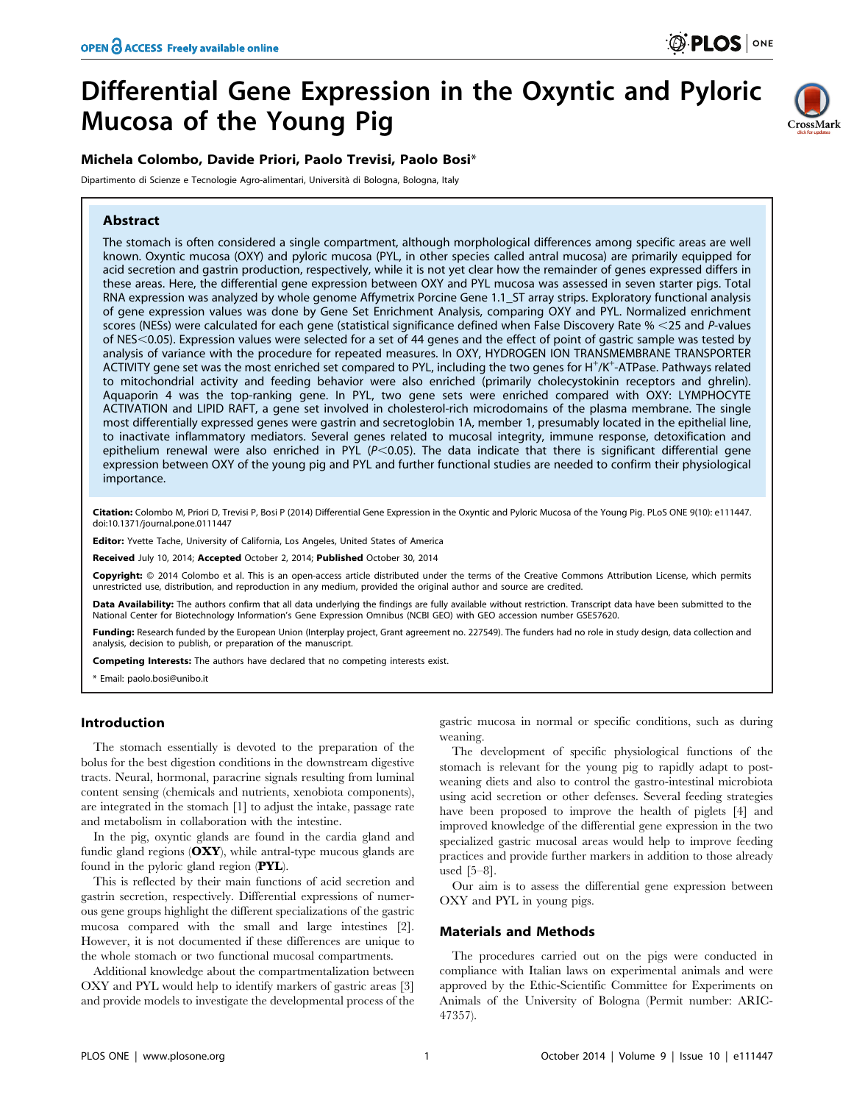# Differential Gene Expression in the Oxyntic and Pyloric Mucosa of the Young Pig



# Michela Colombo, Davide Priori, Paolo Trevisi, Paolo Bosi\*

Dipartimento di Scienze e Tecnologie Agro-alimentari, Università di Bologna, Bologna, Italy

# Abstract

The stomach is often considered a single compartment, although morphological differences among specific areas are well known. Oxyntic mucosa (OXY) and pyloric mucosa (PYL, in other species called antral mucosa) are primarily equipped for acid secretion and gastrin production, respectively, while it is not yet clear how the remainder of genes expressed differs in these areas. Here, the differential gene expression between OXY and PYL mucosa was assessed in seven starter pigs. Total RNA expression was analyzed by whole genome Affymetrix Porcine Gene 1.1\_ST array strips. Exploratory functional analysis of gene expression values was done by Gene Set Enrichment Analysis, comparing OXY and PYL. Normalized enrichment scores (NESs) were calculated for each gene (statistical significance defined when False Discovery Rate  $%$  <25 and P-values of NES<0.05). Expression values were selected for a set of 44 genes and the effect of point of gastric sample was tested by analysis of variance with the procedure for repeated measures. In OXY, HYDROGEN ION TRANSMEMBRANE TRANSPORTER ACTIVITY gene set was the most enriched set compared to PYL, including the two genes for H<sup>+</sup>/K<sup>+</sup>-ATPase. Pathways related to mitochondrial activity and feeding behavior were also enriched (primarily cholecystokinin receptors and ghrelin). Aquaporin 4 was the top-ranking gene. In PYL, two gene sets were enriched compared with OXY: LYMPHOCYTE ACTIVATION and LIPID RAFT, a gene set involved in cholesterol-rich microdomains of the plasma membrane. The single most differentially expressed genes were gastrin and secretoglobin 1A, member 1, presumably located in the epithelial line, to inactivate inflammatory mediators. Several genes related to mucosal integrity, immune response, detoxification and epithelium renewal were also enriched in PYL ( $P<0.05$ ). The data indicate that there is significant differential gene expression between OXY of the young pig and PYL and further functional studies are needed to confirm their physiological importance.

Citation: Colombo M, Priori D, Trevisi P, Bosi P (2014) Differential Gene Expression in the Oxyntic and Pyloric Mucosa of the Young Pig. PLoS ONE 9(10): e111447. doi:10.1371/journal.pone.0111447

Editor: Yvette Tache, University of California, Los Angeles, United States of America

Received July 10, 2014; Accepted October 2, 2014; Published October 30, 2014

Copyright: @ 2014 Colombo et al. This is an open-access article distributed under the terms of the [Creative Commons Attribution License,](http://creativecommons.org/licenses/by/4.0/) which permits unrestricted use, distribution, and reproduction in any medium, provided the original author and source are credited.

Data Availability: The authors confirm that all data underlying the findings are fully available without restriction. Transcript data have been submitted to the National Center for Biotechnology Information's Gene Expression Omnibus (NCBI GEO) with GEO accession number GSE57620.

Funding: Research funded by the European Union (Interplay project, Grant agreement no. 227549). The funders had no role in study design, data collection and analysis, decision to publish, or preparation of the manuscript.

Competing Interests: The authors have declared that no competing interests exist.

\* Email: paolo.bosi@unibo.it

## Introduction

The stomach essentially is devoted to the preparation of the bolus for the best digestion conditions in the downstream digestive tracts. Neural, hormonal, paracrine signals resulting from luminal content sensing (chemicals and nutrients, xenobiota components), are integrated in the stomach [1] to adjust the intake, passage rate and metabolism in collaboration with the intestine.

In the pig, oxyntic glands are found in the cardia gland and fundic gland regions  $(OXY)$ , while antral-type mucous glands are found in the pyloric gland region (PYL).

This is reflected by their main functions of acid secretion and gastrin secretion, respectively. Differential expressions of numerous gene groups highlight the different specializations of the gastric mucosa compared with the small and large intestines [2]. However, it is not documented if these differences are unique to the whole stomach or two functional mucosal compartments.

Additional knowledge about the compartmentalization between OXY and PYL would help to identify markers of gastric areas [3] and provide models to investigate the developmental process of the

gastric mucosa in normal or specific conditions, such as during weaning.

The development of specific physiological functions of the stomach is relevant for the young pig to rapidly adapt to postweaning diets and also to control the gastro-intestinal microbiota using acid secretion or other defenses. Several feeding strategies have been proposed to improve the health of piglets [4] and improved knowledge of the differential gene expression in the two specialized gastric mucosal areas would help to improve feeding practices and provide further markers in addition to those already used [5–8].

Our aim is to assess the differential gene expression between OXY and PYL in young pigs.

#### Materials and Methods

The procedures carried out on the pigs were conducted in compliance with Italian laws on experimental animals and were approved by the Ethic-Scientific Committee for Experiments on Animals of the University of Bologna (Permit number: ARIC-47357).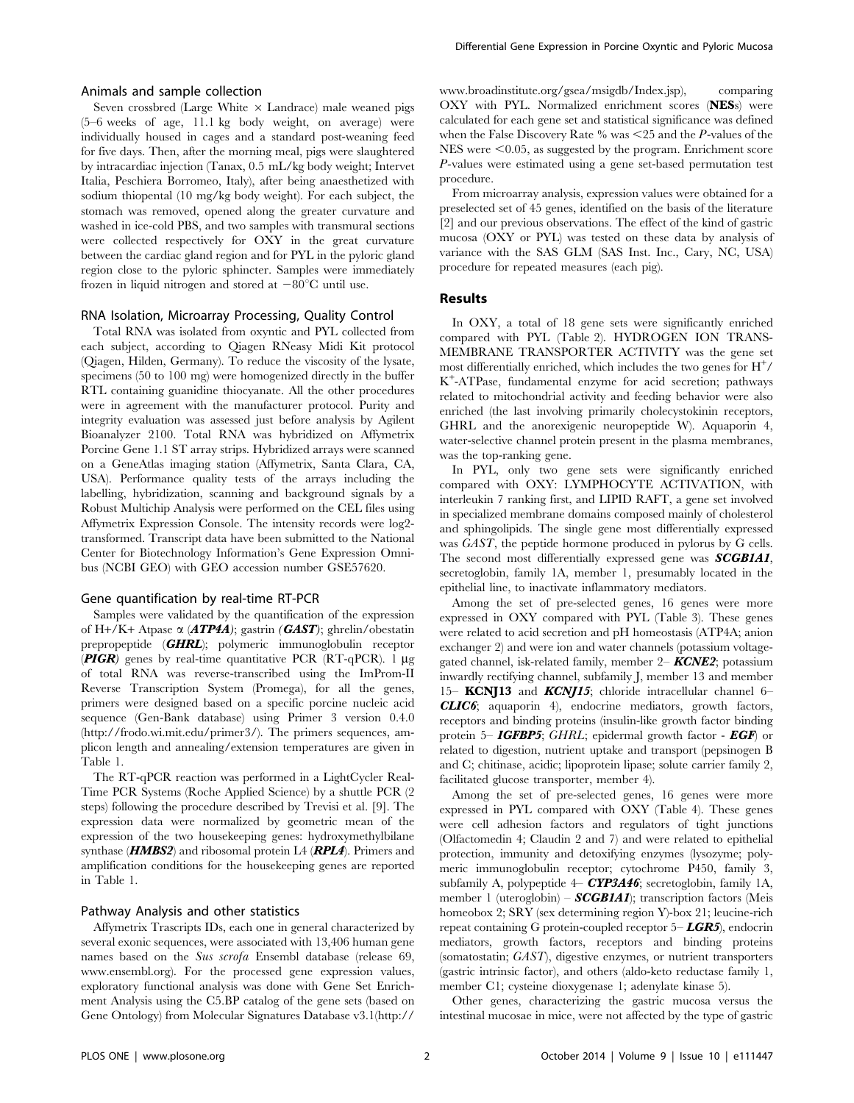# Animals and sample collection

Seven crossbred (Large White  $\times$  Landrace) male weaned pigs (5–6 weeks of age, 11.1 kg body weight, on average) were individually housed in cages and a standard post-weaning feed for five days. Then, after the morning meal, pigs were slaughtered by intracardiac injection (Tanax, 0.5 mL/kg body weight; Intervet Italia, Peschiera Borromeo, Italy), after being anaesthetized with sodium thiopental (10 mg/kg body weight). For each subject, the stomach was removed, opened along the greater curvature and washed in ice-cold PBS, and two samples with transmural sections were collected respectively for OXY in the great curvature between the cardiac gland region and for PYL in the pyloric gland region close to the pyloric sphincter. Samples were immediately frozen in liquid nitrogen and stored at  $-80^{\circ}$ C until use.

#### RNA Isolation, Microarray Processing, Quality Control

Total RNA was isolated from oxyntic and PYL collected from each subject, according to Qiagen RNeasy Midi Kit protocol (Qiagen, Hilden, Germany). To reduce the viscosity of the lysate, specimens (50 to 100 mg) were homogenized directly in the buffer RTL containing guanidine thiocyanate. All the other procedures were in agreement with the manufacturer protocol. Purity and integrity evaluation was assessed just before analysis by Agilent Bioanalyzer 2100. Total RNA was hybridized on Affymetrix Porcine Gene 1.1 ST array strips. Hybridized arrays were scanned on a GeneAtlas imaging station (Affymetrix, Santa Clara, CA, USA). Performance quality tests of the arrays including the labelling, hybridization, scanning and background signals by a Robust Multichip Analysis were performed on the CEL files using Affymetrix Expression Console. The intensity records were log2 transformed. Transcript data have been submitted to the National Center for Biotechnology Information's Gene Expression Omnibus (NCBI GEO) with GEO accession number GSE57620.

#### Gene quantification by real-time RT-PCR

Samples were validated by the quantification of the expression of H+/K+ Atpase  $\alpha$  (**ATP4A**); gastrin (**GAST**); ghrelin/obestatin prepropeptide (GHRL); polymeric immunoglobulin receptor (**PIGR**) genes by real-time quantitative PCR ( $RT-qPCR$ ). 1  $\mu$ g of total RNA was reverse-transcribed using the ImProm-II Reverse Transcription System (Promega), for all the genes, primers were designed based on a specific porcine nucleic acid sequence (Gen-Bank database) using Primer 3 version 0.4.0 [\(http://frodo.wi.mit.edu/primer3/\)](http://frodo.wi.mit.edu/primer3/). The primers sequences, amplicon length and annealing/extension temperatures are given in Table 1.

The RT-qPCR reaction was performed in a LightCycler Real-Time PCR Systems (Roche Applied Science) by a shuttle PCR (2 steps) following the procedure described by Trevisi et al. [9]. The expression data were normalized by geometric mean of the expression of the two housekeeping genes: hydroxymethylbilane synthase ( $HMBS2$ ) and ribosomal protein L4 ( $RPL4$ ). Primers and amplification conditions for the housekeeping genes are reported in Table 1.

#### Pathway Analysis and other statistics

Affymetrix Trascripts IDs, each one in general characterized by several exonic sequences, were associated with 13,406 human gene names based on the Sus scrofa Ensembl database (release 69, <www.ensembl.org>). For the processed gene expression values, exploratory functional analysis was done with Gene Set Enrichment Analysis using the C5.BP catalog of the gene sets (based on Gene Ontology) from Molecular Signatures Database v3.1([http://](http://www.broadinstitute.org/gsea/msigdb/Index.jsp) [www.broadinstitute.org/gsea/msigdb/Index.jsp\)](http://www.broadinstitute.org/gsea/msigdb/Index.jsp), comparing OXY with PYL. Normalized enrichment scores (NESs) were calculated for each gene set and statistical significance was defined when the False Discovery Rate % was  $\leq$  25 and the P-values of the  $NES$  were  $\leq 0.05$ , as suggested by the program. Enrichment score P-values were estimated using a gene set-based permutation test procedure.

From microarray analysis, expression values were obtained for a preselected set of 45 genes, identified on the basis of the literature [2] and our previous observations. The effect of the kind of gastric mucosa (OXY or PYL) was tested on these data by analysis of variance with the SAS GLM (SAS Inst. Inc., Cary, NC, USA) procedure for repeated measures (each pig).

## Results

In OXY, a total of 18 gene sets were significantly enriched compared with PYL (Table 2). HYDROGEN ION TRANS-MEMBRANE TRANSPORTER ACTIVITY was the gene set most differentially enriched, which includes the two genes for  $\mathrm{H}^+$ / K+ -ATPase, fundamental enzyme for acid secretion; pathways related to mitochondrial activity and feeding behavior were also enriched (the last involving primarily cholecystokinin receptors, GHRL and the anorexigenic neuropeptide W). Aquaporin 4, water-selective channel protein present in the plasma membranes, was the top-ranking gene.

In PYL, only two gene sets were significantly enriched compared with OXY: LYMPHOCYTE ACTIVATION, with interleukin 7 ranking first, and LIPID RAFT, a gene set involved in specialized membrane domains composed mainly of cholesterol and sphingolipids. The single gene most differentially expressed was GAST, the peptide hormone produced in pylorus by G cells. The second most differentially expressed gene was **SCGB1A1**, secretoglobin, family 1A, member 1, presumably located in the epithelial line, to inactivate inflammatory mediators.

Among the set of pre-selected genes, 16 genes were more expressed in OXY compared with PYL (Table 3). These genes were related to acid secretion and pH homeostasis (ATP4A; anion exchanger 2) and were ion and water channels (potassium voltagegated channel, isk-related family, member  $2 -$ **KCNE2**; potassium inwardly rectifying channel, subfamily J, member 13 and member 15– KCNJ13 and KCNJ15; chloride intracellular channel 6– CLIC6; aquaporin 4), endocrine mediators, growth factors, receptors and binding proteins (insulin-like growth factor binding protein 5– **IGFBP5**; GHRL; epidermal growth factor - **EGF**) or related to digestion, nutrient uptake and transport (pepsinogen B and C; chitinase, acidic; lipoprotein lipase; solute carrier family 2, facilitated glucose transporter, member 4).

Among the set of pre-selected genes, 16 genes were more expressed in PYL compared with OXY (Table 4). These genes were cell adhesion factors and regulators of tight junctions (Olfactomedin 4; Claudin 2 and 7) and were related to epithelial protection, immunity and detoxifying enzymes (lysozyme; polymeric immunoglobulin receptor; cytochrome P450, family 3, subfamily A, polypeptide  $4-$  CYP3A46; secretoglobin, family 1A, member 1 (uteroglobin) –  $SCGBIA1$ ); transcription factors (Meis homeobox 2; SRY (sex determining region Y)-box 21; leucine-rich repeat containing G protein-coupled receptor  $5- \textit{LCR5}$ ), endocrin mediators, growth factors, receptors and binding proteins (somatostatin; GAST), digestive enzymes, or nutrient transporters (gastric intrinsic factor), and others (aldo-keto reductase family 1, member C1; cysteine dioxygenase 1; adenylate kinase 5).

Other genes, characterizing the gastric mucosa versus the intestinal mucosae in mice, were not affected by the type of gastric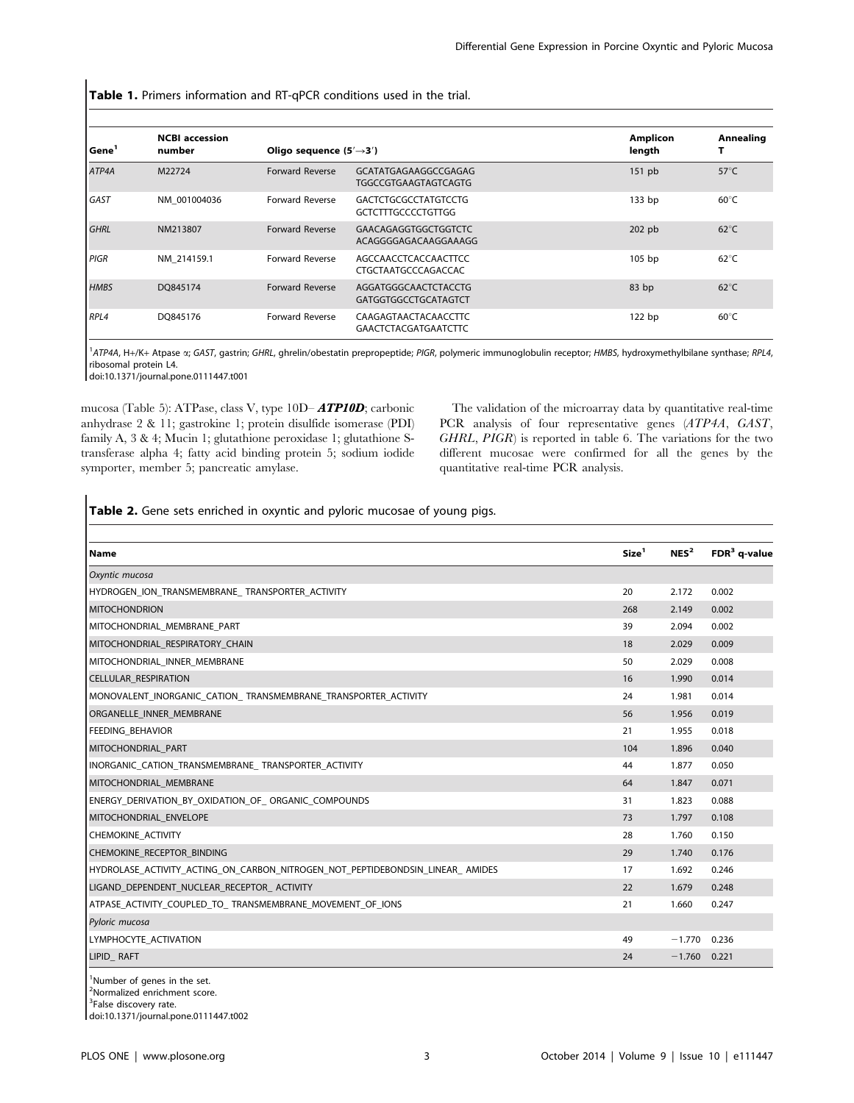Table 1. Primers information and RT-qPCR conditions used in the trial.

| Gene        | <b>NCBI</b> accession<br>number | Oligo sequence $(5' \rightarrow 3')$ |                                                          | <b>Amplicon</b><br>length | Annealing      |
|-------------|---------------------------------|--------------------------------------|----------------------------------------------------------|---------------------------|----------------|
| ATP4A       | M22724                          | <b>Forward Reverse</b>               | GCATATGAGAAGGCCGAGAG<br><b>TGGCCGTGAAGTAGTCAGTG</b>      | $151$ pb                  | $57^{\circ}$ C |
| GAST        | NM 001004036                    | Forward Reverse                      | <b>GACTCTGCGCCTATGTCCTG</b><br><b>GCTCTTTGCCCCTGTTGG</b> | 133 bp                    | $60^{\circ}$ C |
| <b>GHRL</b> | NM213807                        | <b>Forward Reverse</b>               | <b>GAACAGAGGTGGCTGGTCTC</b><br>ACAGGGGAGACAAGGAAAGG      | $202$ pb                  | $62^{\circ}$ C |
| PIGR        | NM 214159.1                     | Forward Reverse                      | AGCCAACCTCACCAACTTCC<br>CTGCTAATGCCCAGACCAC              | 105 bp                    | $62^{\circ}$ C |
| <b>HMBS</b> | DO845174                        | <b>Forward Reverse</b>               | AGGATGGGCAACTCTACCTG<br>GATGGTGGCCTGCATAGTCT             | 83 bp                     | $62^{\circ}$ C |
| RPL4        | DO845176                        | <b>Forward Reverse</b>               | CAAGAGTAACTACAACCTTC<br><b>GAACTCTACGATGAATCTTC</b>      | $122$ bp                  | $60^{\circ}$ C |

<sup>1</sup>ATP4A, H+/K+ Atpase a; GAST, gastrin; GHRL, ghrelin/obestatin prepropeptide; PIGR, polymeric immunoglobulin receptor; HMBS, hydroxymethylbilane synthase; RPL4, ribosomal protein L4.

doi:10.1371/journal.pone.0111447.t001

mucosa (Table 5): ATPase, class V, type 10D– ATP10D; carbonic anhydrase 2 & 11; gastrokine 1; protein disulfide isomerase (PDI) family A, 3 & 4; Mucin 1; glutathione peroxidase 1; glutathione Stransferase alpha 4; fatty acid binding protein 5; sodium iodide symporter, member 5; pancreatic amylase.

The validation of the microarray data by quantitative real-time PCR analysis of four representative genes (ATP4A, GAST, GHRL, PIGR) is reported in table 6. The variations for the two different mucosae were confirmed for all the genes by the quantitative real-time PCR analysis.

# Table 2. Gene sets enriched in oxyntic and pyloric mucosae of young pigs.

| <b>Name</b>                                                                   | Size <sup>1</sup> | NES <sup>2</sup> | $FDR3$ q-value |
|-------------------------------------------------------------------------------|-------------------|------------------|----------------|
| Oxyntic mucosa                                                                |                   |                  |                |
| HYDROGEN ION TRANSMEMBRANE TRANSPORTER ACTIVITY                               | 20                | 2.172            | 0.002          |
| <b>MITOCHONDRION</b>                                                          | 268               | 2.149            | 0.002          |
| MITOCHONDRIAL MEMBRANE PART                                                   | 39                | 2.094            | 0.002          |
| MITOCHONDRIAL RESPIRATORY CHAIN                                               | 18                | 2.029            | 0.009          |
| MITOCHONDRIAL INNER MEMBRANE                                                  | 50                | 2.029            | 0.008          |
| <b>CELLULAR RESPIRATION</b>                                                   | 16                | 1.990            | 0.014          |
| MONOVALENT_INORGANIC_CATION_TRANSMEMBRANE_TRANSPORTER_ACTIVITY                | 24                | 1.981            | 0.014          |
| ORGANELLE INNER MEMBRANE                                                      | 56                | 1.956            | 0.019          |
| <b>FEEDING BEHAVIOR</b>                                                       | 21                | 1.955            | 0.018          |
| MITOCHONDRIAL PART                                                            | 104               | 1.896            | 0.040          |
| INORGANIC CATION TRANSMEMBRANE TRANSPORTER ACTIVITY                           | 44                | 1.877            | 0.050          |
| MITOCHONDRIAL_MEMBRANE                                                        | 64                | 1.847            | 0.071          |
| ENERGY_DERIVATION_BY_OXIDATION_OF_ ORGANIC_COMPOUNDS                          | 31                | 1.823            | 0.088          |
| MITOCHONDRIAL ENVELOPE                                                        | 73                | 1.797            | 0.108          |
| CHEMOKINE_ACTIVITY                                                            | 28                | 1.760            | 0.150          |
| CHEMOKINE RECEPTOR BINDING                                                    | 29                | 1.740            | 0.176          |
| HYDROLASE ACTIVITY ACTING ON CARBON NITROGEN NOT PEPTIDEBONDSIN LINEAR AMIDES | 17                | 1.692            | 0.246          |
| LIGAND DEPENDENT NUCLEAR RECEPTOR ACTIVITY                                    | 22                | 1.679            | 0.248          |
| ATPASE ACTIVITY COUPLED TO TRANSMEMBRANE MOVEMENT OF IONS                     | 21                | 1.660            | 0.247          |
| Pyloric mucosa                                                                |                   |                  |                |
| LYMPHOCYTE ACTIVATION                                                         | 49                | $-1.770$         | 0.236          |
| LIPID RAFT                                                                    | 24                | $-1.760$         | 0.221          |

<sup>1</sup>Number of genes in the set.

2 Normalized enrichment score. <sup>3</sup>False discovery rate.

doi:10.1371/journal.pone.0111447.t002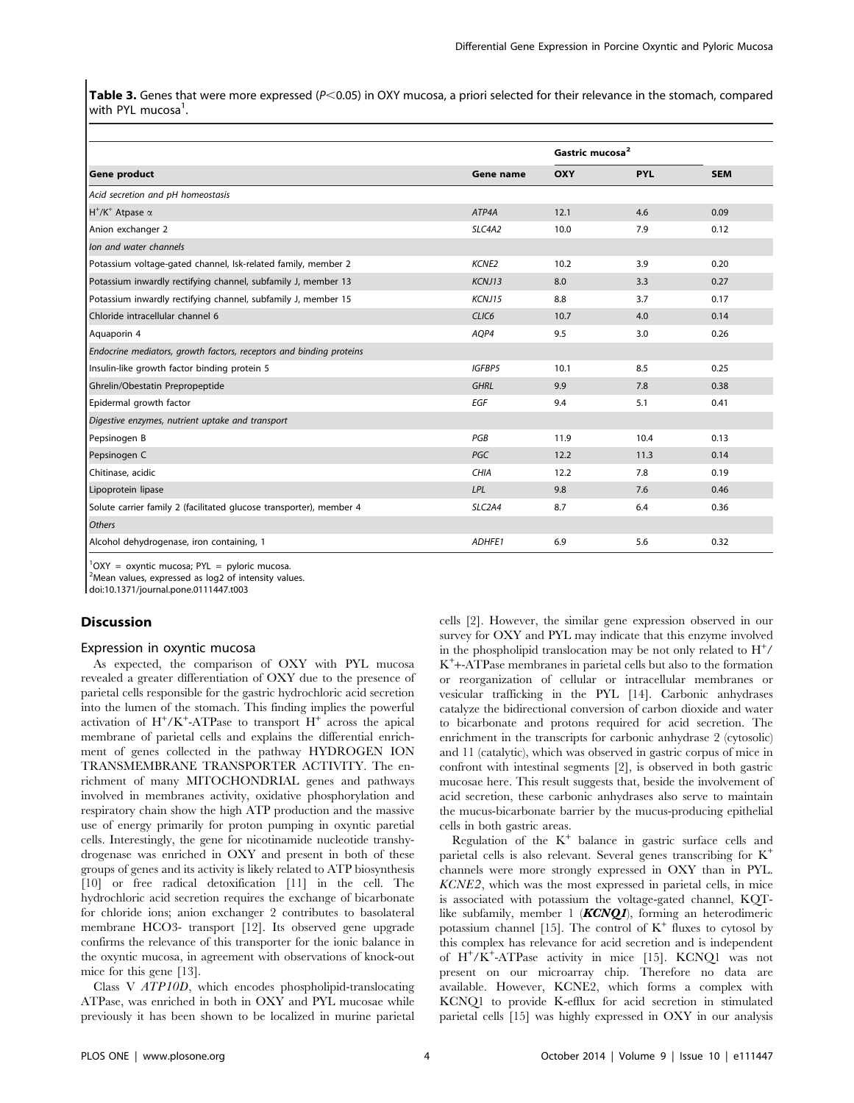Table 3. Genes that were more expressed ( $P< 0.05$ ) in OXY mucosa, a priori selected for their relevance in the stomach, compared with PYL mucosa<sup>1</sup>.

|                                                                     |                     | Gastric mucosa <sup>2</sup> |            |            |
|---------------------------------------------------------------------|---------------------|-----------------------------|------------|------------|
| <b>Gene product</b>                                                 | Gene name           | OXY                         | <b>PYL</b> | <b>SEM</b> |
| Acid secretion and pH homeostasis                                   |                     |                             |            |            |
| $H^+/K^+$ Atpase $\alpha$                                           | ATP4A               | 12.1                        | 4.6        | 0.09       |
| Anion exchanger 2                                                   | SLC4A2              | 10.0                        | 7.9        | 0.12       |
| Ion and water channels                                              |                     |                             |            |            |
| Potassium voltage-gated channel, Isk-related family, member 2       | KCNE2               | 10.2                        | 3.9        | 0.20       |
| Potassium inwardly rectifying channel, subfamily J, member 13       | KCNJ13              | 8.0                         | 3.3        | 0.27       |
| Potassium inwardly rectifying channel, subfamily J, member 15       | KCNJ15              | 8.8                         | 3.7        | 0.17       |
| Chloride intracellular channel 6                                    | CLIC <sub>6</sub>   | 10.7                        | 4.0        | 0.14       |
| Aquaporin 4                                                         | AQP4                | 9.5                         | 3.0        | 0.26       |
| Endocrine mediators, growth factors, receptors and binding proteins |                     |                             |            |            |
| Insulin-like growth factor binding protein 5                        | <b>IGFBP5</b>       | 10.1                        | 8.5        | 0.25       |
| Ghrelin/Obestatin Prepropeptide                                     | <b>GHRL</b>         | 9.9                         | 7.8        | 0.38       |
| Epidermal growth factor                                             | EGF                 | 9.4                         | 5.1        | 0.41       |
| Digestive enzymes, nutrient uptake and transport                    |                     |                             |            |            |
| Pepsinogen B                                                        | PGB                 | 11.9                        | 10.4       | 0.13       |
| Pepsinogen C                                                        | <b>PGC</b>          | 12.2                        | 11.3       | 0.14       |
| Chitinase, acidic                                                   | <b>CHIA</b>         | 12.2                        | 7.8        | 0.19       |
| Lipoprotein lipase                                                  | LPL                 | 9.8                         | 7.6        | 0.46       |
| Solute carrier family 2 (facilitated glucose transporter), member 4 | SLC <sub>2</sub> A4 | 8.7                         | 6.4        | 0.36       |
| <b>Others</b>                                                       |                     |                             |            |            |
| Alcohol dehydrogenase, iron containing, 1                           | ADHFE1              | 6.9                         | 5.6        | 0.32       |

 ${}^{1}$ OXY = oxyntic mucosa; PYL = pyloric mucosa.

<sup>2</sup>Mean values, expressed as log2 of intensity values.

doi:10.1371/journal.pone.0111447.t003

# Discussion

#### Expression in oxyntic mucosa

As expected, the comparison of OXY with PYL mucosa revealed a greater differentiation of OXY due to the presence of parietal cells responsible for the gastric hydrochloric acid secretion into the lumen of the stomach. This finding implies the powerful activation of  $H^+/K^+$ -ATPase to transport  $H^+$  across the apical membrane of parietal cells and explains the differential enrichment of genes collected in the pathway HYDROGEN ION TRANSMEMBRANE TRANSPORTER ACTIVITY. The enrichment of many MITOCHONDRIAL genes and pathways involved in membranes activity, oxidative phosphorylation and respiratory chain show the high ATP production and the massive use of energy primarily for proton pumping in oxyntic paretial cells. Interestingly, the gene for nicotinamide nucleotide transhydrogenase was enriched in OXY and present in both of these groups of genes and its activity is likely related to ATP biosynthesis [10] or free radical detoxification [11] in the cell. The hydrochloric acid secretion requires the exchange of bicarbonate for chloride ions; anion exchanger 2 contributes to basolateral membrane HCO3- transport [12]. Its observed gene upgrade confirms the relevance of this transporter for the ionic balance in the oxyntic mucosa, in agreement with observations of knock-out mice for this gene [13].

Class V ATP10D, which encodes phospholipid-translocating ATPase, was enriched in both in OXY and PYL mucosae while previously it has been shown to be localized in murine parietal cells [2]. However, the similar gene expression observed in our survey for OXY and PYL may indicate that this enzyme involved in the phospholipid translocation may be not only related to  $H^+$ / K+ +-ATPase membranes in parietal cells but also to the formation or reorganization of cellular or intracellular membranes or vesicular trafficking in the PYL [14]. Carbonic anhydrases catalyze the bidirectional conversion of carbon dioxide and water to bicarbonate and protons required for acid secretion. The enrichment in the transcripts for carbonic anhydrase 2 (cytosolic) and 11 (catalytic), which was observed in gastric corpus of mice in confront with intestinal segments [2], is observed in both gastric mucosae here. This result suggests that, beside the involvement of acid secretion, these carbonic anhydrases also serve to maintain the mucus-bicarbonate barrier by the mucus-producing epithelial cells in both gastric areas.

Regulation of the  $K^+$  balance in gastric surface cells and parietal cells is also relevant. Several genes transcribing for K<sup>+</sup> channels were more strongly expressed in OXY than in PYL. KCNE2, which was the most expressed in parietal cells, in mice is associated with potassium the voltage-gated channel, KQTlike subfamily, member 1  $(KCNOI)$ , forming an heterodimeric potassium channel [15]. The control of  $K^+$  fluxes to cytosol by this complex has relevance for acid secretion and is independent of H<sup>+</sup> /K<sup>+</sup> -ATPase activity in mice [15]. KCNQ1 was not present on our microarray chip. Therefore no data are available. However, KCNE2, which forms a complex with KCNQ1 to provide K-efflux for acid secretion in stimulated parietal cells [15] was highly expressed in OXY in our analysis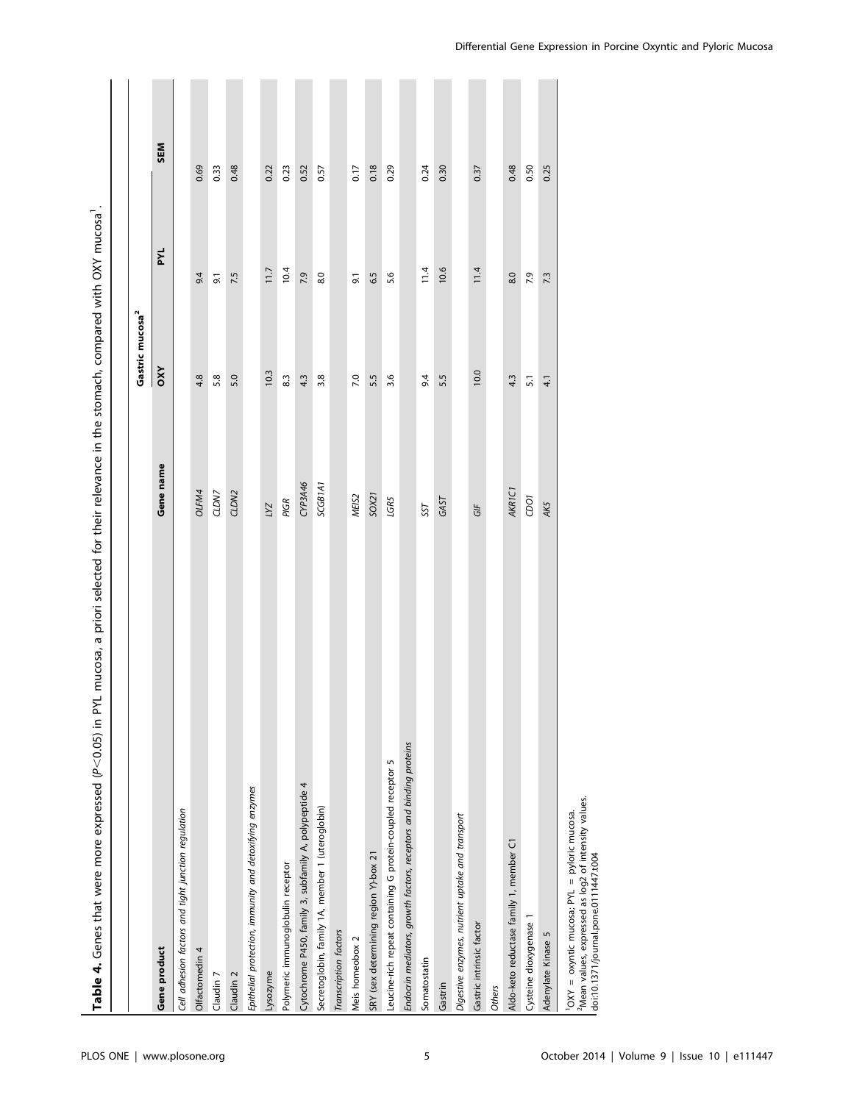| Table 4. Genes that were more expressed (P<0.05) in PYL mucosa, a priori selected for their relevance in the stomach, compared with OXY mucosa           |                                  |                             |      |      |
|----------------------------------------------------------------------------------------------------------------------------------------------------------|----------------------------------|-----------------------------|------|------|
|                                                                                                                                                          |                                  |                             |      |      |
|                                                                                                                                                          |                                  | Gastric mucosa <sup>2</sup> |      |      |
| Gene product                                                                                                                                             | Gene name                        | OXY                         | PYL  | SEM  |
| Cell adhesion factors and tight junction regulation                                                                                                      |                                  |                             |      |      |
| Olfactomedin 4                                                                                                                                           | OLFM4                            | 4.8                         | 9.4  | 0.69 |
| Claudin 7                                                                                                                                                | CLDN7                            | 5.8                         | 9.1  | 0.33 |
| Claudin <sub>2</sub>                                                                                                                                     | CLDN2                            | 5.0                         | 7.5  | 0.48 |
| Epithelial protection, immunity and detoxifying enzymes                                                                                                  |                                  |                             |      |      |
| Lysozyme                                                                                                                                                 | LYZ                              | 10.3                        | 11.7 | 0.22 |
| Polymeric immunoglobulin receptor                                                                                                                        | PIGR                             | 8.3                         | 10.4 | 0.23 |
| Cytochrome P450, family 3, subfamily A, polypeptide 4                                                                                                    | CYP3A46                          | 4.3                         | 7.9  | 0.52 |
| Secretoglobin, family 1A, member 1 (uteroglobin)                                                                                                         | SCGB <sub>1</sub> A <sub>1</sub> | 3.8                         | 8.0  | 0.57 |
| Transcription factors                                                                                                                                    |                                  |                             |      |      |
| Meis homeobox 2                                                                                                                                          | MEIS <sub>2</sub>                | 7.0                         | 9.1  | 0.17 |
| SRY (sex determining region Y)-box 21                                                                                                                    | SOX21                            | 5.5                         | 6.5  | 0.18 |
| Leucine-rich repeat containing G protein-coupled receptor 5                                                                                              | LGR5                             | 3.6                         | 5.6  | 0.29 |
| Endocrin mediators, growth factors, receptors and binding proteins                                                                                       |                                  |                             |      |      |
| Somatostatin                                                                                                                                             | SST                              | 9.4                         | 11.4 | 0.24 |
| Gastrin                                                                                                                                                  | GAST                             | 5.5                         | 10.6 | 0.30 |
| Digestive enzymes, nutrient uptake and transport                                                                                                         |                                  |                             |      |      |
| Gastric intrinsic factor                                                                                                                                 | GIF                              | 10.0                        | 11.4 | 0.37 |
| <b>Others</b>                                                                                                                                            |                                  |                             |      |      |
| Aldo-keto reductase family 1, member C1                                                                                                                  | AKR <sub>1C1</sub>               | 4.3                         | 8.0  | 0.48 |
| Cysteine dioxygenase 1                                                                                                                                   | ioco                             | $\overline{51}$             | 7.9  | 0.50 |
| Adenylate Kinase 5                                                                                                                                       | AK5                              | 41                          | 7.3  | 0.25 |
| <sup>2</sup> Mean values, expressed as log2 of intensity values.<br>OXY = oxyntic mucosa; PYL = pyloric mucosa.<br>doi:10.1371/journal.pone.0111447.t004 |                                  |                             |      |      |

| 5                                                                                                                               |
|---------------------------------------------------------------------------------------------------------------------------------|
| $-200$                                                                                                                          |
|                                                                                                                                 |
|                                                                                                                                 |
|                                                                                                                                 |
|                                                                                                                                 |
|                                                                                                                                 |
|                                                                                                                                 |
| i<br>i                                                                                                                          |
| í                                                                                                                               |
|                                                                                                                                 |
| Í                                                                                                                               |
|                                                                                                                                 |
|                                                                                                                                 |
| ississississis                                                                                                                  |
|                                                                                                                                 |
|                                                                                                                                 |
| j                                                                                                                               |
|                                                                                                                                 |
| $\ddot{\phantom{a}}$<br>I                                                                                                       |
|                                                                                                                                 |
|                                                                                                                                 |
|                                                                                                                                 |
|                                                                                                                                 |
|                                                                                                                                 |
|                                                                                                                                 |
|                                                                                                                                 |
|                                                                                                                                 |
| ֚֓                                                                                                                              |
| ;<br>$-1.1$                                                                                                                     |
| ,                                                                                                                               |
| <u>:</u>                                                                                                                        |
| うりりりっこ<br>and the state of the state of the state of the state of the state of the state of the state of the state of th        |
| ۱                                                                                                                               |
| ı                                                                                                                               |
| بملمين أسمنيمه مصنعت                                                                                                            |
|                                                                                                                                 |
|                                                                                                                                 |
|                                                                                                                                 |
|                                                                                                                                 |
| )<br>)<br>)                                                                                                                     |
|                                                                                                                                 |
|                                                                                                                                 |
| -<br>-<br>-<br>-<br>-<br>-                                                                                                      |
|                                                                                                                                 |
| í                                                                                                                               |
|                                                                                                                                 |
|                                                                                                                                 |
| )<br>)<br>)                                                                                                                     |
|                                                                                                                                 |
| ֦֧֦֧֦֧֦֧֦֧֦֧֦֧֦֧֦֧֦֧֦֧֦֧֦֧֦֧֦֚֬                                                                                                 |
| ī                                                                                                                               |
| $\mathcal{L}^{\text{max}}_{\text{max}}$ and $\mathcal{L}^{\text{max}}_{\text{max}}$ and $\mathcal{L}^{\text{max}}_{\text{max}}$ |
| j<br>)<br>expresse                                                                                                              |
|                                                                                                                                 |
|                                                                                                                                 |
|                                                                                                                                 |
|                                                                                                                                 |
|                                                                                                                                 |
|                                                                                                                                 |
|                                                                                                                                 |
|                                                                                                                                 |
|                                                                                                                                 |
|                                                                                                                                 |
|                                                                                                                                 |
|                                                                                                                                 |
|                                                                                                                                 |
|                                                                                                                                 |
|                                                                                                                                 |
|                                                                                                                                 |
|                                                                                                                                 |
|                                                                                                                                 |
|                                                                                                                                 |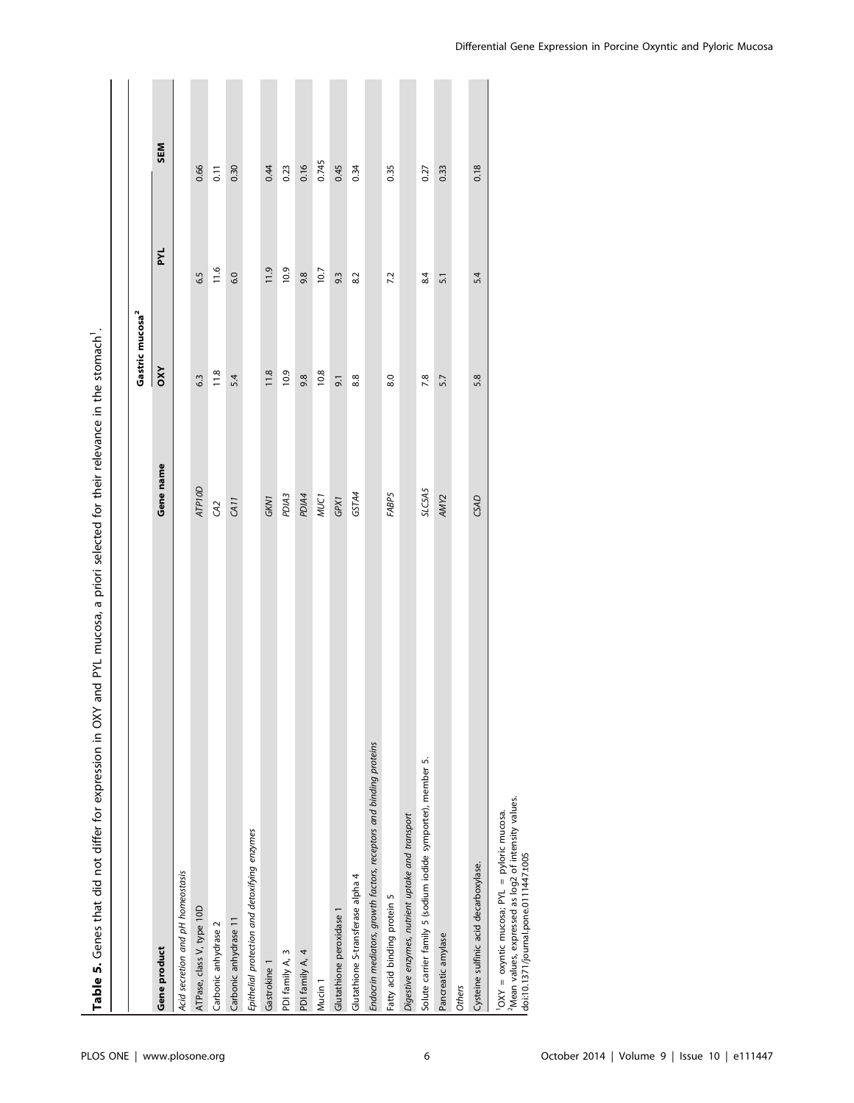| and PYL mucosa, a priori selected for their relevance in the stomach.<br>Table 5. Genes that did not differ for expression in OXY                        |               |                             |      |            |
|----------------------------------------------------------------------------------------------------------------------------------------------------------|---------------|-----------------------------|------|------------|
|                                                                                                                                                          |               |                             |      |            |
|                                                                                                                                                          |               | Gastric mucosa <sup>2</sup> |      |            |
| Gene product                                                                                                                                             | Gene name     | OXY                         | PYL  | <b>SEM</b> |
| Acid secretion and pH homeostasis                                                                                                                        |               |                             |      |            |
| ATPase, class V, type 10D                                                                                                                                | <b>ATP10D</b> | 6.3                         | 6.5  | 0.66       |
| Carbonic anhydrase 2                                                                                                                                     | $\Im$         | 11.8                        | 11.6 | 0.11       |
| Carbonic anhydrase 11                                                                                                                                    | CA11          | 5.4                         | 6.0  | 0.30       |
| Epithelial protection and detoxifying enzymes                                                                                                            |               |                             |      |            |
| Gastrokine 1                                                                                                                                             | GKN1          | 11.8                        | 11.9 | 0.44       |
| PDI family A, 3                                                                                                                                          | PDIA3         | 10.9                        | 10.9 | 0.23       |
| PDI family A, 4                                                                                                                                          | PDIA4         | 9.8                         | 9.8  | 0.16       |
| Mucin <sub>1</sub>                                                                                                                                       | <b>MUC1</b>   | 10.8                        | 10.7 | 0.745      |
| Glutathione peroxidase 1                                                                                                                                 | GPX1          | $\overline{9}$ .            | 9.3  | 0.45       |
| Glutathione S-transferase alpha 4                                                                                                                        | GSTA4         | 8.8                         | 8.2  | 0.34       |
| Endocrin mediators, growth factors, receptors and binding proteins                                                                                       |               |                             |      |            |
| Fatty acid binding protein 5                                                                                                                             | FABP5         | 8.0                         | 7.2  | 0.35       |
| Digestive enzymes, nutrient uptake and transport                                                                                                         |               |                             |      |            |
| Solute carrier family 5 (sodium iodide symporter), member 5.                                                                                             | SLC5A5        | 7.8                         | 8.4  | 0.27       |
| Pancreatic amylase                                                                                                                                       | AMY2          | 5.7                         | 5.1  | 0.33       |
| <b>Others</b>                                                                                                                                            |               |                             |      |            |
| Cysteine sulfinic acid decarboxylase.                                                                                                                    | CSAD          | 5.8                         | 5.4  | 0.18       |
| <sup>2</sup> Mean values, expressed as log2 of intensity values.<br>OXY = oxyntic mucosa; PYL = pyloric mucosa.<br>doi:10.1371/journal.pone.0111447.t005 |               |                             |      |            |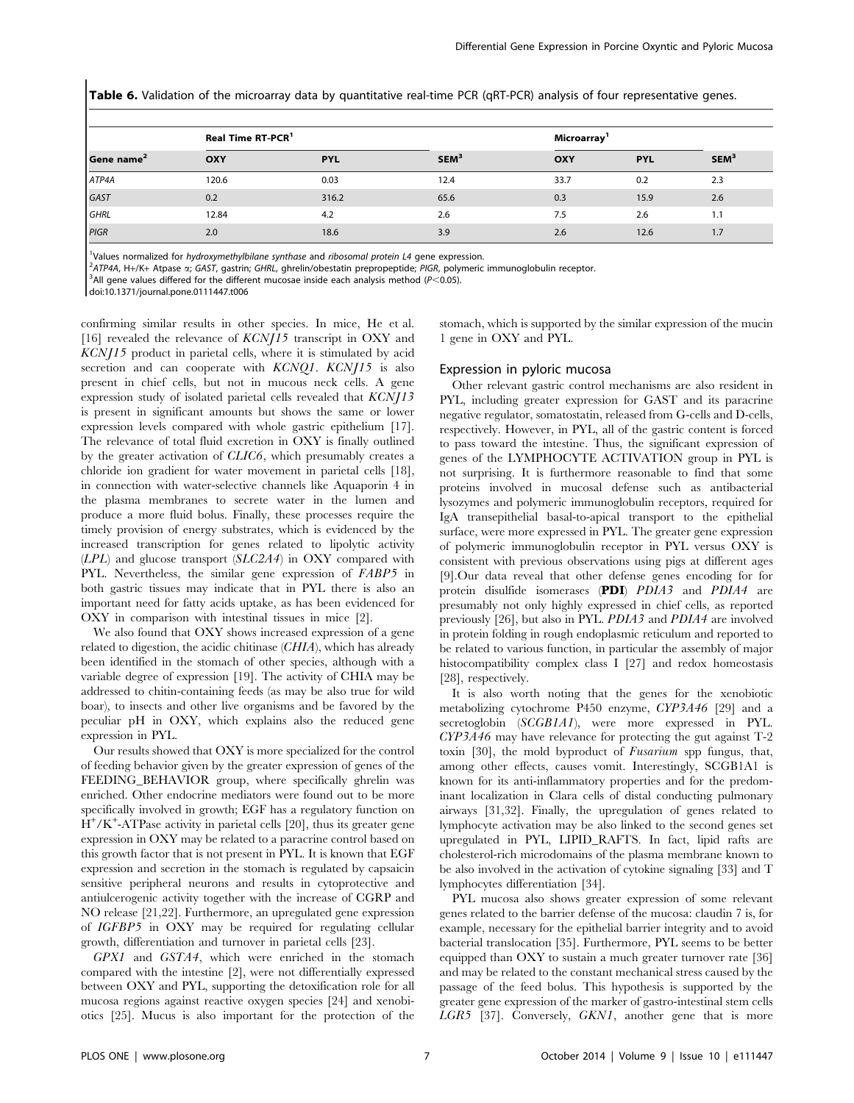Table 6. Validation of the microarray data by quantitative real-time PCR (qRT-PCR) analysis of four representative genes.

|                        | Real Time RT-PCR <sup>1</sup> |            |                  | Microarray <sup>1</sup> |            |                  |  |
|------------------------|-------------------------------|------------|------------------|-------------------------|------------|------------------|--|
| Gene name <sup>2</sup> | <b>OXY</b>                    | <b>PYL</b> | SEM <sup>3</sup> | OXY                     | <b>PYL</b> | SEM <sup>3</sup> |  |
| ATP4A                  | 120.6                         | 0.03       | 12.4             | 33.7                    | 0.2        | 2.3              |  |
| GAST                   | 0.2                           | 316.2      | 65.6             | 0.3                     | 15.9       | 2.6              |  |
| <b>GHRL</b>            | 12.84                         | 4.2        | 2.6              | 7.5                     | 2.6        | 1.1              |  |
| PIGR                   | 2.0                           | 18.6       | 3.9              | 2.6                     | 12.6       | 1.7              |  |

<sup>1</sup>Values normalized for *hydroxymethylbilane synthase* and *ribosomal protein L4* gene expression.<br><sup>2</sup>4TP44, H+/K+ Atpace a: GAST, gastrip: GHPL, ghrolip/obostatip proproportide: PIGP, polymeric

<sup>2</sup>ATP4A, H+/K+ Atpase «; GAST, gastrin; GHRL, ghrelin/obestatin prepropeptide; PIGR, polymeric immunoglobulin receptor.

 $3$ All gene values differed for the different mucosae inside each analysis method ( $P$ <0.05).

doi:10.1371/journal.pone.0111447.t006

confirming similar results in other species. In mice, He et al. [16] revealed the relevance of  $KCN/15$  transcript in OXY and KCNJ15 product in parietal cells, where it is stimulated by acid secretion and can cooperate with KCNQ1. KCNJ15 is also present in chief cells, but not in mucous neck cells. A gene expression study of isolated parietal cells revealed that KCNJ13 is present in significant amounts but shows the same or lower expression levels compared with whole gastric epithelium [17]. The relevance of total fluid excretion in OXY is finally outlined by the greater activation of CLIC6, which presumably creates a chloride ion gradient for water movement in parietal cells [18], in connection with water-selective channels like Aquaporin 4 in the plasma membranes to secrete water in the lumen and produce a more fluid bolus. Finally, these processes require the timely provision of energy substrates, which is evidenced by the increased transcription for genes related to lipolytic activity  $(LPL)$  and glucose transport  $(SLC2A4)$  in OXY compared with PYL. Nevertheless, the similar gene expression of FABP5 in both gastric tissues may indicate that in PYL there is also an important need for fatty acids uptake, as has been evidenced for OXY in comparison with intestinal tissues in mice [2].

We also found that OXY shows increased expression of a gene related to digestion, the acidic chitinase (CHIA), which has already been identified in the stomach of other species, although with a variable degree of expression [19]. The activity of CHIA may be addressed to chitin-containing feeds (as may be also true for wild boar), to insects and other live organisms and be favored by the peculiar pH in OXY, which explains also the reduced gene expression in PYL.

Our results showed that OXY is more specialized for the control of feeding behavior given by the greater expression of genes of the FEEDING\_BEHAVIOR group, where specifically ghrelin was enriched. Other endocrine mediators were found out to be more specifically involved in growth; EGF has a regulatory function on  $\dot{H}^{+}/K^{+}$ -ATPase activity in parietal cells [20], thus its greater gene expression in OXY may be related to a paracrine control based on this growth factor that is not present in PYL. It is known that EGF expression and secretion in the stomach is regulated by capsaicin sensitive peripheral neurons and results in cytoprotective and antiulcerogenic activity together with the increase of CGRP and NO release [21,22]. Furthermore, an upregulated gene expression of IGFBP5 in OXY may be required for regulating cellular growth, differentiation and turnover in parietal cells [23].

GPX1 and GSTA4, which were enriched in the stomach compared with the intestine [2], were not differentially expressed between OXY and PYL, supporting the detoxification role for all mucosa regions against reactive oxygen species [24] and xenobiotics [25]. Mucus is also important for the protection of the stomach, which is supported by the similar expression of the mucin 1 gene in OXY and PYL.

#### Expression in pyloric mucosa

Other relevant gastric control mechanisms are also resident in PYL, including greater expression for GAST and its paracrine negative regulator, somatostatin, released from G-cells and D-cells, respectively. However, in PYL, all of the gastric content is forced to pass toward the intestine. Thus, the significant expression of genes of the LYMPHOCYTE ACTIVATION group in PYL is not surprising. It is furthermore reasonable to find that some proteins involved in mucosal defense such as antibacterial lysozymes and polymeric immunoglobulin receptors, required for IgA transepithelial basal-to-apical transport to the epithelial surface, were more expressed in PYL. The greater gene expression of polymeric immunoglobulin receptor in PYL versus OXY is consistent with previous observations using pigs at different ages [9].Our data reveal that other defense genes encoding for for protein disulfide isomerases (PDI) PDIA3 and PDIA4 are presumably not only highly expressed in chief cells, as reported previously [26], but also in PYL. PDIA3 and PDIA4 are involved in protein folding in rough endoplasmic reticulum and reported to be related to various function, in particular the assembly of major histocompatibility complex class I [27] and redox homeostasis [28], respectively.

It is also worth noting that the genes for the xenobiotic metabolizing cytochrome P450 enzyme, CYP3A46 [29] and a secretoglobin (SCGB1A1), were more expressed in PYL. CYP3A46 may have relevance for protecting the gut against T-2 toxin [30], the mold byproduct of Fusarium spp fungus, that, among other effects, causes vomit. Interestingly, SCGB1A1 is known for its anti-inflammatory properties and for the predominant localization in Clara cells of distal conducting pulmonary airways [31,32]. Finally, the upregulation of genes related to lymphocyte activation may be also linked to the second genes set upregulated in PYL, LIPID\_RAFTS. In fact, lipid rafts are cholesterol-rich microdomains of the plasma membrane known to be also involved in the activation of cytokine signaling [33] and T lymphocytes differentiation [34].

PYL mucosa also shows greater expression of some relevant genes related to the barrier defense of the mucosa: claudin 7 is, for example, necessary for the epithelial barrier integrity and to avoid bacterial translocation [35]. Furthermore, PYL seems to be better equipped than OXY to sustain a much greater turnover rate [36] and may be related to the constant mechanical stress caused by the passage of the feed bolus. This hypothesis is supported by the greater gene expression of the marker of gastro-intestinal stem cells LGR5 [37]. Conversely, GKN1, another gene that is more